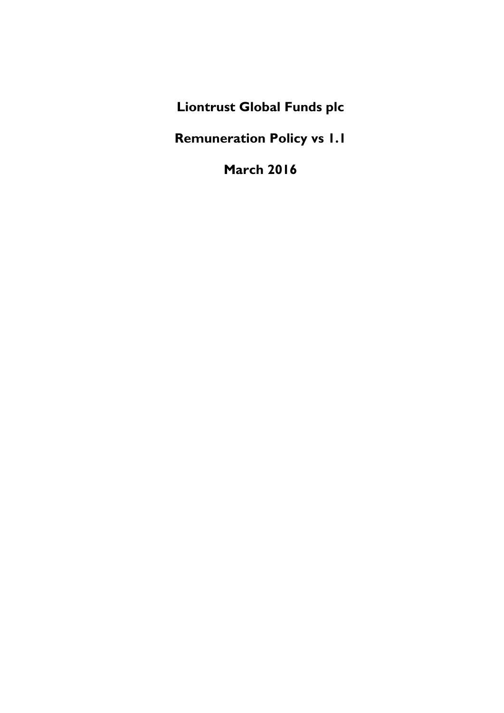**Liontrust Global Funds plc**

**Remuneration Policy vs 1.1**

**March 2016**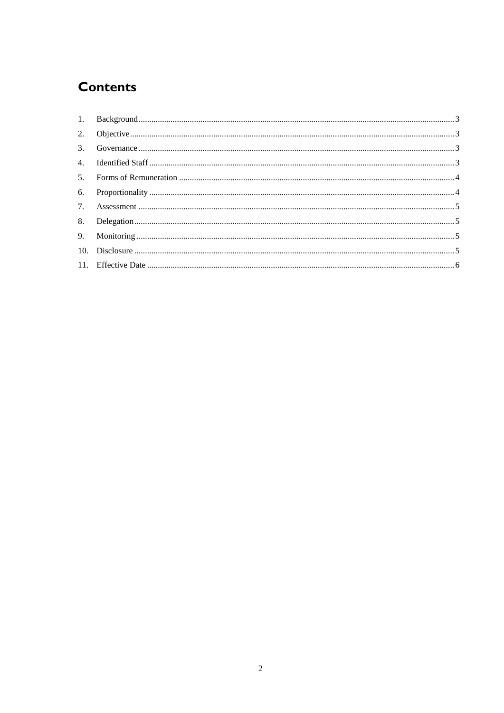# **Contents**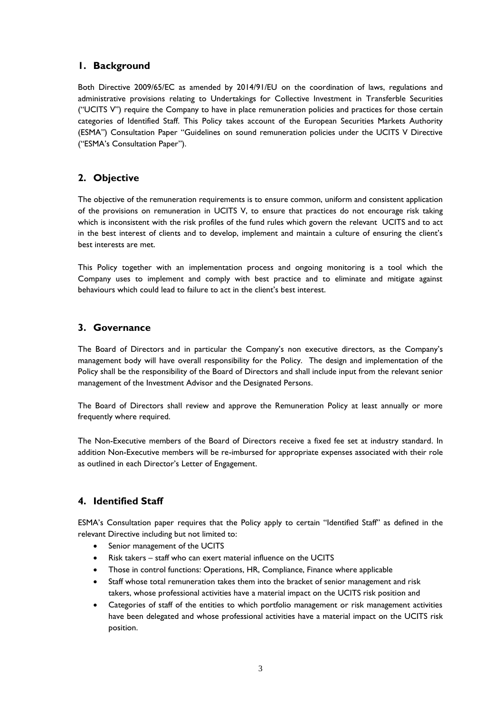## <span id="page-2-0"></span>**1. Background**

Both Directive 2009/65/EC as amended by 2014/91/EU on the coordination of laws, regulations and administrative provisions relating to Undertakings for Collective Investment in Transferble Securities ("UCITS V") require the Company to have in place remuneration policies and practices for those certain categories of Identified Staff. This Policy takes account of the European Securities Markets Authority (ESMA") Consultation Paper "Guidelines on sound remuneration policies under the UCITS V Directive ("ESMA's Consultation Paper").

## <span id="page-2-1"></span>**2. Objective**

The objective of the remuneration requirements is to ensure common, uniform and consistent application of the provisions on remuneration in UCITS V, to ensure that practices do not encourage risk taking which is inconsistent with the risk profiles of the fund rules which govern the relevant UCITS and to act in the best interest of clients and to develop, implement and maintain a culture of ensuring the client's best interests are met.

This Policy together with an implementation process and ongoing monitoring is a tool which the Company uses to implement and comply with best practice and to eliminate and mitigate against behaviours which could lead to failure to act in the client's best interest.

## <span id="page-2-2"></span>**3. Governance**

The Board of Directors and in particular the Company's non executive directors, as the Company's management body will have overall responsibility for the Policy. The design and implementation of the Policy shall be the responsibility of the Board of Directors and shall include input from the relevant senior management of the Investment Advisor and the Designated Persons.

The Board of Directors shall review and approve the Remuneration Policy at least annually or more frequently where required.

The Non-Executive members of the Board of Directors receive a fixed fee set at industry standard. In addition Non-Executive members will be re-imbursed for appropriate expenses associated with their role as outlined in each Director's Letter of Engagement.

## <span id="page-2-3"></span>**4. Identified Staff**

ESMA's Consultation paper requires that the Policy apply to certain "Identified Staff" as defined in the relevant Directive including but not limited to:

- Senior management of the UCITS
- Risk takers staff who can exert material influence on the UCITS
- Those in control functions: Operations, HR, Compliance, Finance where applicable
- Staff whose total remuneration takes them into the bracket of senior management and risk takers, whose professional activities have a material impact on the UCITS risk position and
- Categories of staff of the entities to which portfolio management or risk management activities have been delegated and whose professional activities have a material impact on the UCITS risk position.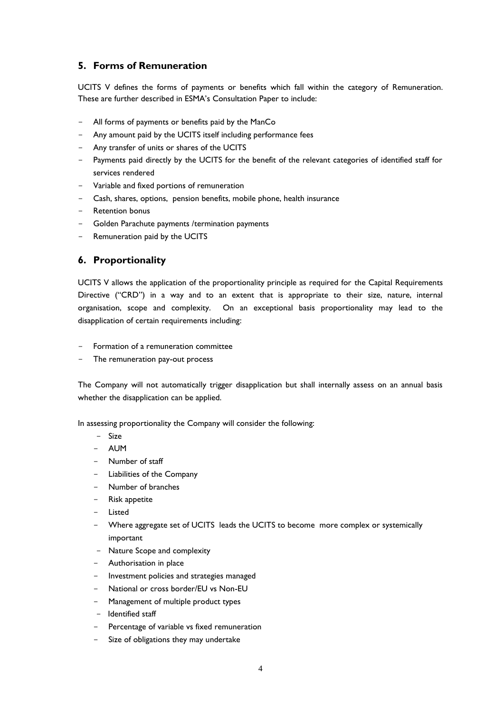## <span id="page-3-0"></span>**5. Forms of Remuneration**

UCITS V defines the forms of payments or benefits which fall within the category of Remuneration. These are further described in ESMA's Consultation Paper to include:

- All forms of payments or benefits paid by the ManCo
- Any amount paid by the UCITS itself including performance fees
- Any transfer of units or shares of the UCITS
- Payments paid directly by the UCITS for the benefit of the relevant categories of identified staff for services rendered
- Variable and fixed portions of remuneration
- Cash, shares, options, pension benefits, mobile phone, health insurance
- Retention bonus
- Golden Parachute payments /termination payments
- Remuneration paid by the UCITS

#### <span id="page-3-1"></span>**6. Proportionality**

UCITS V allows the application of the proportionality principle as required for the Capital Requirements Directive ("CRD") in a way and to an extent that is appropriate to their size, nature, internal organisation, scope and complexity. On an exceptional basis proportionality may lead to the disapplication of certain requirements including:

- Formation of a remuneration committee
- The remuneration pay-out process

The Company will not automatically trigger disapplication but shall internally assess on an annual basis whether the disapplication can be applied.

In assessing proportionality the Company will consider the following:

- Size
- AUM
- Number of staff
- Liabilities of the Company
- Number of branches
- Risk appetite
- Listed
- Where aggregate set of UCITS leads the UCITS to become more complex or systemically important
- Nature Scope and complexity
- Authorisation in place
- Investment policies and strategies managed
- National or cross border/EU vs Non-EU
- Management of multiple product types
- Identified staff
- Percentage of variable vs fixed remuneration
- Size of obligations they may undertake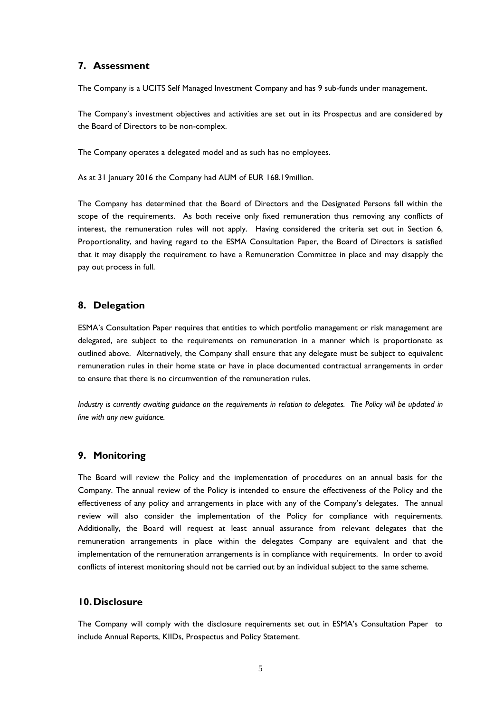#### <span id="page-4-0"></span>**7. Assessment**

The Company is a UCITS Self Managed Investment Company and has 9 sub-funds under management.

The Company's investment objectives and activities are set out in its Prospectus and are considered by the Board of Directors to be non-complex.

The Company operates a delegated model and as such has no employees.

As at 31 January 2016 the Company had AUM of EUR 168.19million.

The Company has determined that the Board of Directors and the Designated Persons fall within the scope of the requirements. As both receive only fixed remuneration thus removing any conflicts of interest, the remuneration rules will not apply. Having considered the criteria set out in Section 6, Proportionality, and having regard to the ESMA Consultation Paper, the Board of Directors is satisfied that it may disapply the requirement to have a Remuneration Committee in place and may disapply the pay out process in full.

#### <span id="page-4-1"></span>**8. Delegation**

ESMA's Consultation Paper requires that entities to which portfolio management or risk management are delegated, are subject to the requirements on remuneration in a manner which is proportionate as outlined above. Alternatively, the Company shall ensure that any delegate must be subject to equivalent remuneration rules in their home state or have in place documented contractual arrangements in order to ensure that there is no circumvention of the remuneration rules.

*Industry is currently awaiting guidance on the requirements in relation to delegates. The Policy will be updated in line with any new guidance.*

#### <span id="page-4-2"></span>**9. Monitoring**

The Board will review the Policy and the implementation of procedures on an annual basis for the Company. The annual review of the Policy is intended to ensure the effectiveness of the Policy and the effectiveness of any policy and arrangements in place with any of the Company's delegates. The annual review will also consider the implementation of the Policy for compliance with requirements. Additionally, the Board will request at least annual assurance from relevant delegates that the remuneration arrangements in place within the delegates Company are equivalent and that the implementation of the remuneration arrangements is in compliance with requirements. In order to avoid conflicts of interest monitoring should not be carried out by an individual subject to the same scheme.

#### <span id="page-4-3"></span>**10.Disclosure**

The Company will comply with the disclosure requirements set out in ESMA's Consultation Paper to include Annual Reports, KIIDs, Prospectus and Policy Statement.